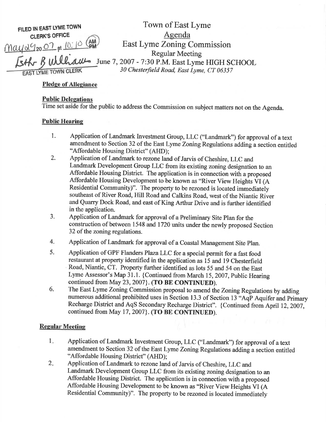FILED IN EAST LYME TOWN **CLERK'S OFFICE** 

 $\frac{\eta a \psi \alpha q_{20} O^2 \pi 10^ |O|}{ }$ 

Agenda East Lyme Zoning Commission Regular Meeting<br>
SHK- B William June 7, 2007 - 7:30 P.M. East Lyme HIGH SCHOOL<br>
30 Chesterfield Road, East Lyme, CT 06357

Town of East Lyme

### Pledge of Allegiance

#### **Public Delegations**

Time set aside for the public to address the Commission on subject matters not on the Agenda.

# Public Hearine

- 1. Application of Landmark lnvestment Group, LLC ("Landmark') for approval of a text amendment to Section 32 of the East Lyme Zoning Regulations adding a section entitled "Affordable Housing District" (AHD);
- 2. Application of Landmark to rezone land of Jarvis of Cheshire, LLC and Landmark Development Group LLC from its existing zoning designation to an Affordable Housing District. The application is in connection with a proposed Affordable Housing Development to be known as "River View Heights VI (A Residential Community)". The property to be rezoned is located immediately southeast of River Road, Hill Road and Calkins Road, west of the Niantic River and Quarry Dock Road, and east of King Arthur Drive and is further identified in the application.
- 3. Application of Landmark for approval of a Preliminary Site Plan for the construction of between 1548 and 1720 units under the newly proposed Section 32 of the zoning regulations.
- 4. Application of Landmark for approval of a Coastal Management Site Plan.
- 5. Application of GPF Flanders PlazaLLC for a special permit for a fast food restaurant at property identified in the application as 15 and 19 Chesterfield Road, Niantic, CT. Property further identified as lots 55 and 54 on the East Lyme Assessor's Map 31.1. {Continued from March 15, 2007, Public Hearing continued from May 23, 2007}. (TO BE CONTINUED).
- 6. The East Lyme Zoning Commission proposal to amend the Zoning Regulations by adding numerous additional prohibited uses in Section 13.3 of Section 13 "AqP Aquifer and Primary Rccharge District and AqS Secondary Recharge District". {Continued from April 12,2007, continued from May 17, 2007}. (TO BE CONTINUED).

# **Regular Meeting**

- Application of Landmark Investment Group, LLC ("Landmark") for approval of a text amendment to Section 32 of the East Lyme Zoning Regulations adding a section entitled "Affordable Housing District" (AHD); 1
- Application of Landmark to rezone land of Jarvis of cheshire, LLC and Landmark Development Group LLC from its existing zoning designation to an Affordable Housing District. The application is in connection with a proposed Affordable Housing Development to be known as "River View Heights VI (A Residential Community)". The property to be rezoned is located immediately <sup>2.</sup>